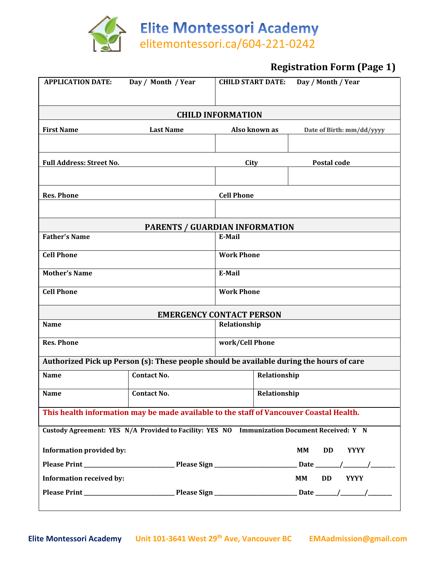

# **Registration Form (Page 1)**

| <b>APPLICATION DATE:</b>                                                                    | Day / Month / Year                                                                       | <b>CHILD START DATE:</b> |               | Day / Month / Year                    |  |  |  |
|---------------------------------------------------------------------------------------------|------------------------------------------------------------------------------------------|--------------------------|---------------|---------------------------------------|--|--|--|
| <b>CHILD INFORMATION</b>                                                                    |                                                                                          |                          |               |                                       |  |  |  |
| <b>First Name</b>                                                                           | <b>Last Name</b>                                                                         |                          | Also known as | Date of Birth: mm/dd/yyyy             |  |  |  |
|                                                                                             |                                                                                          |                          |               |                                       |  |  |  |
| <b>Full Address: Street No.</b>                                                             |                                                                                          | City                     |               | Postal code                           |  |  |  |
|                                                                                             |                                                                                          |                          |               |                                       |  |  |  |
| <b>Res. Phone</b>                                                                           |                                                                                          | <b>Cell Phone</b>        |               |                                       |  |  |  |
|                                                                                             |                                                                                          |                          |               |                                       |  |  |  |
| PARENTS / GUARDIAN INFORMATION                                                              |                                                                                          |                          |               |                                       |  |  |  |
| <b>Father's Name</b>                                                                        |                                                                                          | E-Mail                   |               |                                       |  |  |  |
| <b>Cell Phone</b>                                                                           |                                                                                          | <b>Work Phone</b>        |               |                                       |  |  |  |
| <b>Mother's Name</b>                                                                        |                                                                                          | E-Mail                   |               |                                       |  |  |  |
| <b>Cell Phone</b>                                                                           |                                                                                          | <b>Work Phone</b>        |               |                                       |  |  |  |
|                                                                                             | <b>EMERGENCY CONTACT PERSON</b>                                                          |                          |               |                                       |  |  |  |
| <b>Name</b>                                                                                 |                                                                                          | Relationship             |               |                                       |  |  |  |
| <b>Res. Phone</b>                                                                           |                                                                                          | work/Cell Phone          |               |                                       |  |  |  |
|                                                                                             | Authorized Pick up Person (s): These people should be available during the hours of care |                          |               |                                       |  |  |  |
| <b>Name</b>                                                                                 | <b>Contact No.</b>                                                                       |                          | Relationship  |                                       |  |  |  |
| <b>Name</b>                                                                                 | Contact No.                                                                              |                          | Relationship  |                                       |  |  |  |
| This health information may be made available to the staff of Vancouver Coastal Health.     |                                                                                          |                          |               |                                       |  |  |  |
| Custody Agreement: YES N/A Provided to Facility: YES NO Immunization Document Received: Y N |                                                                                          |                          |               |                                       |  |  |  |
| <b>Information provided by:</b>                                                             |                                                                                          |                          |               | <b>MM</b><br><b>DD</b><br><b>YYYY</b> |  |  |  |
|                                                                                             |                                                                                          |                          |               |                                       |  |  |  |
| <b>Information received by:</b>                                                             |                                                                                          |                          |               | <b>MM</b><br>DD YYYY                  |  |  |  |
|                                                                                             |                                                                                          |                          |               |                                       |  |  |  |